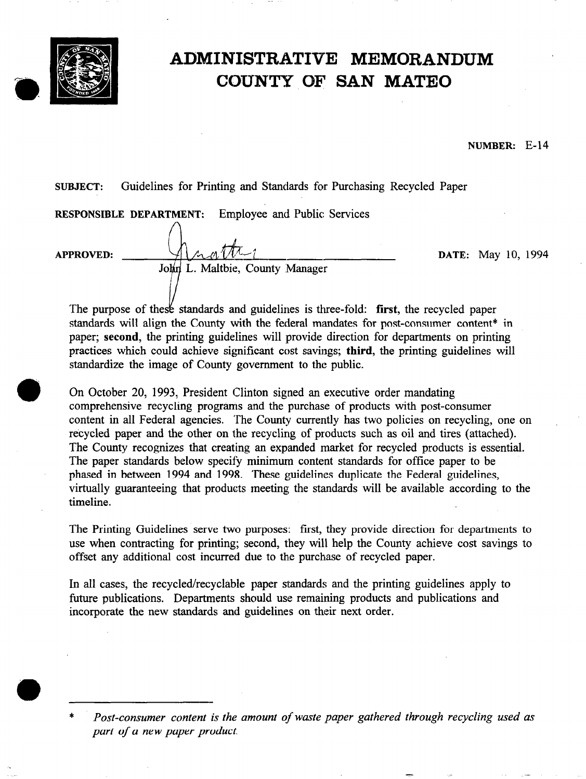

# ADMINISTRATIVE MEMORANDUM COUNTY OF SAN MATE0

NUMBER: E-14

## SUBJECT: Guidelines for Printing and Standards for Purchasing Recycled Paper

|                  | RESPONSIBLE DEPARTMENT: | <b>Employee and Public Services</b> |  |                           |
|------------------|-------------------------|-------------------------------------|--|---------------------------|
| <b>APPROVED:</b> |                         |                                     |  | <b>DATE:</b> May 10, 1994 |
|                  |                         | John L. Maltbie, County Manager     |  |                           |

The purpose of these standards and guidelines is three-fold: first, the recycled paper standards will align the County with the federal mandates for post-consumer content\* in paper; second, the printing guidelines will provide direction for departments on printing practices which could achieve significant cost savings; third, the printing guidelines will standardize the image of County government to the public.

On October 20, 1993, President Clinton signed an executive order mandating comprehensive recycling programs and the purchase of products with post-consumer content in all Federal agencies. The County currently has two policies on recycling, one on recycled paper and the other on the recycling of products such as oil and tires (attached). The County recognizes that creating an expanded market for recycled products is essential. The paper standards below specify minimum content standards for office paper to be phased in between 1994 and 1998. These guidelines duplicate the Federal guidelines, virtually guaranteeing that products meeting the standards will be available according to the timeline.

The Printing Guidelines serve two purposes: first, they provide direction for departments to use when contracting for printing; second, they will help the County achieve cost savings to offset any additional cost incurred due to the purchase of recycled paper.

In all cases, the recycled/recyclable paper standards and the printing guidelines apply to future publications. Departments should use remaining products and publications and incorporate the new standards and guidelines on their next order.

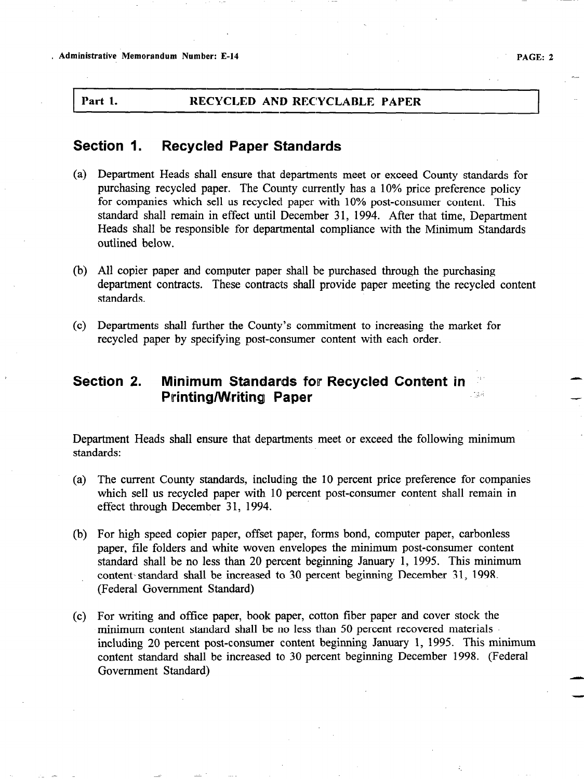### Part 1. RECYCLED AND RECYCLABLE PAPER

## Section 1. Recycled Paper Standards

- (a) Department Heads shall ensure that departments meet or exceed County standards for purchasing recycled paper. The County currently has a 10% price preference policy for companies which sell us recycled paper with 10% post-consumer content. This standard shall remain in effect until December 31, 1994. After that time, Department Heads shall be responsible for departmental compliance with the Minimum Standards outlined below.
- (b) All copier paper and computer paper shall be purchased through the purchasing department contracts. These contracts shall provide paper meeting the recycled content standards.
- (c) Departments shall further the County's commitment to increasing the market for recycled paper by specifying post-consumer content with each order.

## Section 2. Minimum Standards for Recycled Content in Pirinting/Writing Paper ..;. : -

Department Heads shall ensure that departments meet or exceed the following minimum standards:

- (a) The current County standards, including the 10 percent price preference for companies which sell us recycled paper with 10 percent post-consumer content shall remain in effect through December 31, 1994.
- (b) For high speed copier paper, offset paper, forms bond, computer paper, carbonless paper, file folders and white woven envelopes the minimum post-consumer content standard shall be no less than 20 percent beginning January 1, 1995. This minimum content standard shall be increased to 30 percent beginning December 31, 1998. (Federal Government Standard)
- (c) For writing and office paper, book paper, cotton fiber paper and cover stock the minimum content standard shall be no less than 50 percent recovered materials including 20 percent post-consumer content beginning January 1, 1995. This minimum content standard shall be increased to 30 percent beginning December 1998. (Federal Government Standard)

\_